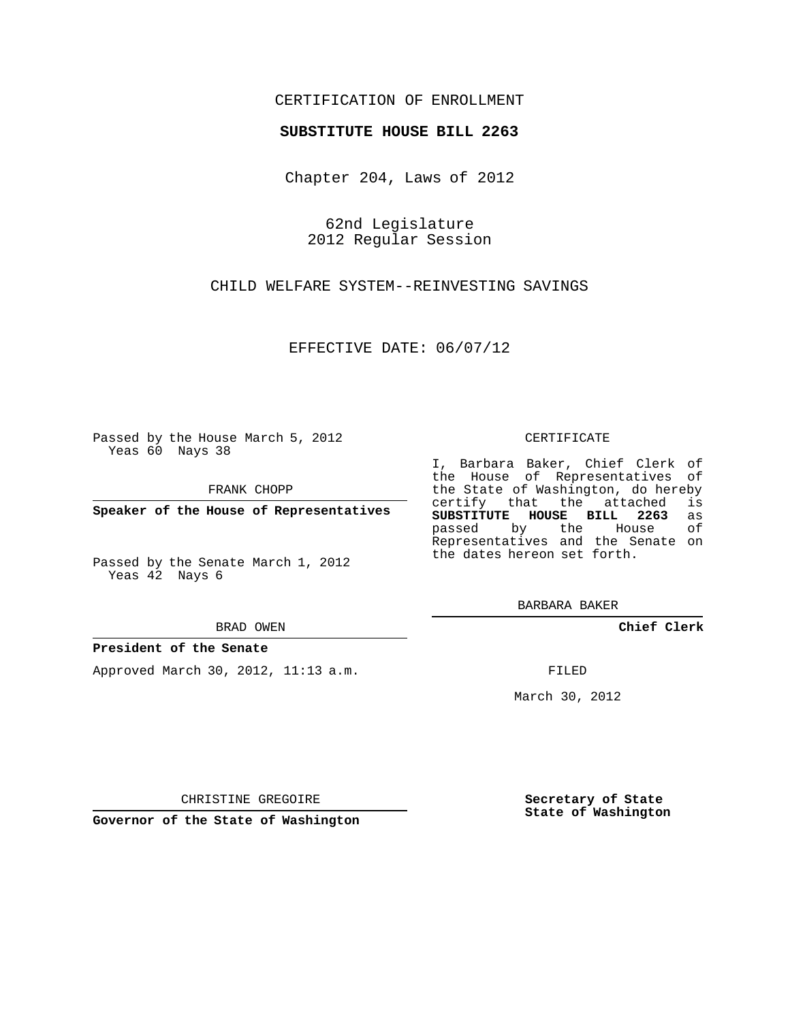### CERTIFICATION OF ENROLLMENT

#### **SUBSTITUTE HOUSE BILL 2263**

Chapter 204, Laws of 2012

62nd Legislature 2012 Regular Session

CHILD WELFARE SYSTEM--REINVESTING SAVINGS

EFFECTIVE DATE: 06/07/12

Passed by the House March 5, 2012 Yeas 60 Nays 38

FRANK CHOPP

**Speaker of the House of Representatives**

Passed by the Senate March 1, 2012 Yeas 42 Nays 6

BRAD OWEN

#### **President of the Senate**

Approved March 30, 2012, 11:13 a.m.

#### CERTIFICATE

I, Barbara Baker, Chief Clerk of the House of Representatives of the State of Washington, do hereby<br>certify that the attached is certify that the attached **SUBSTITUTE HOUSE BILL 2263** as passed by the Representatives and the Senate on the dates hereon set forth.

BARBARA BAKER

**Chief Clerk**

FILED

March 30, 2012

**Secretary of State State of Washington**

CHRISTINE GREGOIRE

**Governor of the State of Washington**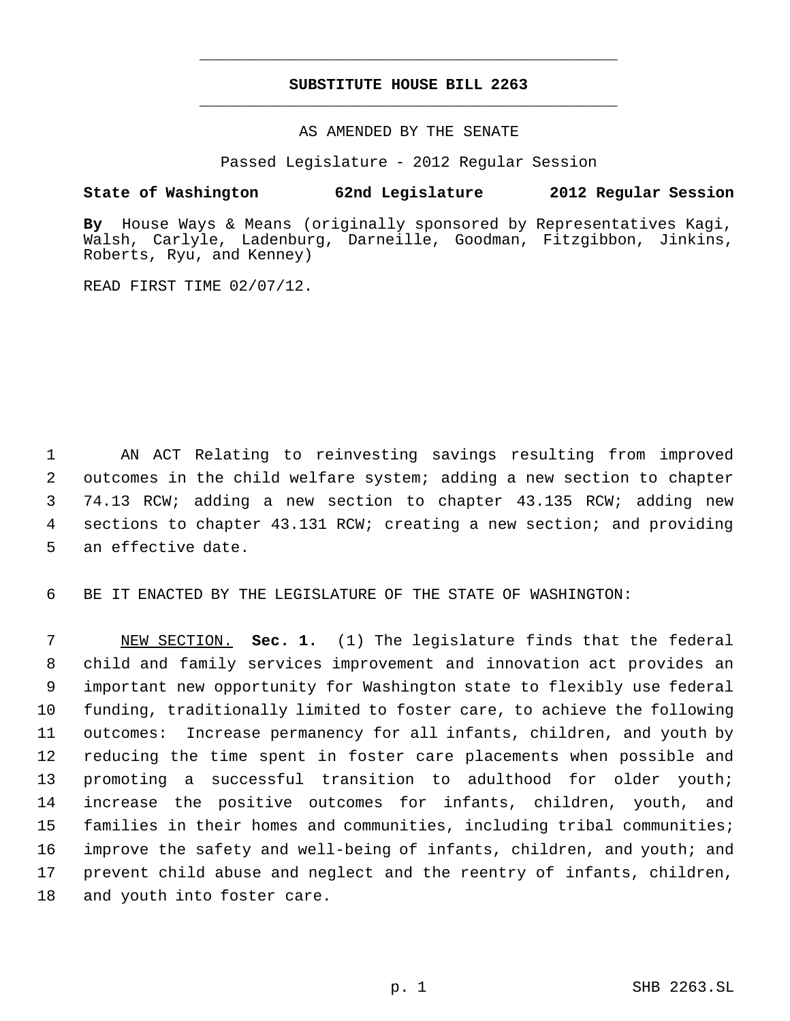# **SUBSTITUTE HOUSE BILL 2263** \_\_\_\_\_\_\_\_\_\_\_\_\_\_\_\_\_\_\_\_\_\_\_\_\_\_\_\_\_\_\_\_\_\_\_\_\_\_\_\_\_\_\_\_\_

\_\_\_\_\_\_\_\_\_\_\_\_\_\_\_\_\_\_\_\_\_\_\_\_\_\_\_\_\_\_\_\_\_\_\_\_\_\_\_\_\_\_\_\_\_

AS AMENDED BY THE SENATE

Passed Legislature - 2012 Regular Session

## **State of Washington 62nd Legislature 2012 Regular Session**

**By** House Ways & Means (originally sponsored by Representatives Kagi, Walsh, Carlyle, Ladenburg, Darneille, Goodman, Fitzgibbon, Jinkins, Roberts, Ryu, and Kenney)

READ FIRST TIME 02/07/12.

 AN ACT Relating to reinvesting savings resulting from improved outcomes in the child welfare system; adding a new section to chapter 74.13 RCW; adding a new section to chapter 43.135 RCW; adding new sections to chapter 43.131 RCW; creating a new section; and providing an effective date.

BE IT ENACTED BY THE LEGISLATURE OF THE STATE OF WASHINGTON:

 NEW SECTION. **Sec. 1.** (1) The legislature finds that the federal child and family services improvement and innovation act provides an important new opportunity for Washington state to flexibly use federal funding, traditionally limited to foster care, to achieve the following outcomes: Increase permanency for all infants, children, and youth by reducing the time spent in foster care placements when possible and promoting a successful transition to adulthood for older youth; increase the positive outcomes for infants, children, youth, and families in their homes and communities, including tribal communities; improve the safety and well-being of infants, children, and youth; and prevent child abuse and neglect and the reentry of infants, children, and youth into foster care.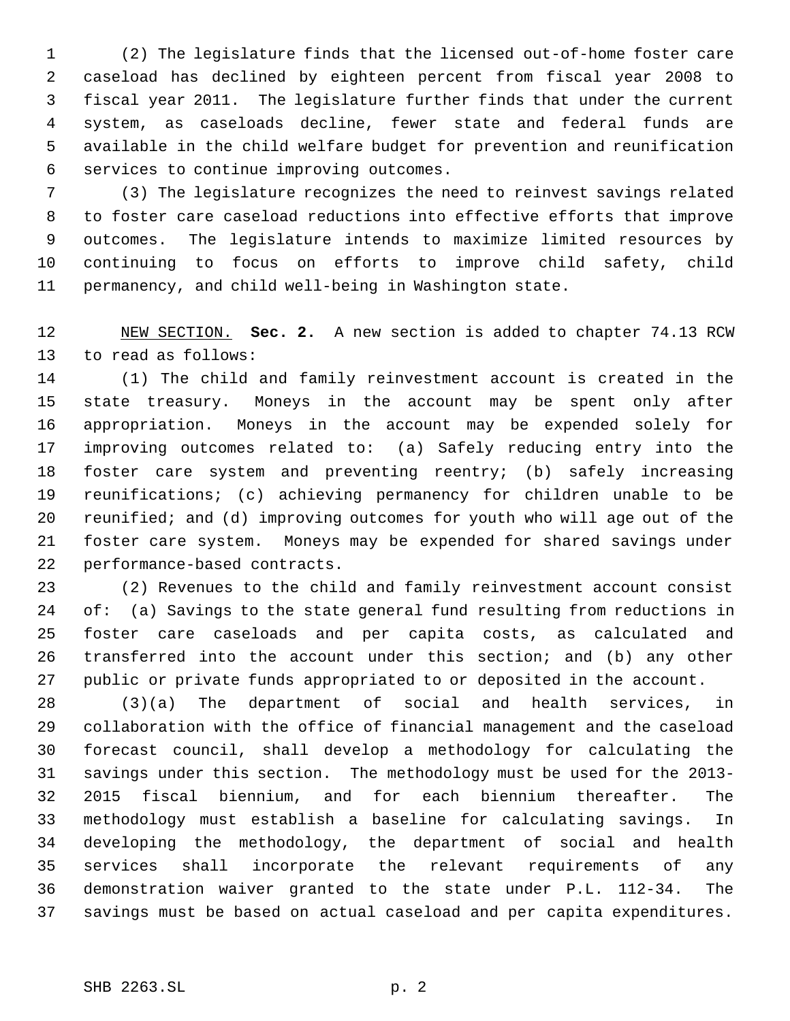(2) The legislature finds that the licensed out-of-home foster care caseload has declined by eighteen percent from fiscal year 2008 to fiscal year 2011. The legislature further finds that under the current system, as caseloads decline, fewer state and federal funds are available in the child welfare budget for prevention and reunification services to continue improving outcomes.

 (3) The legislature recognizes the need to reinvest savings related to foster care caseload reductions into effective efforts that improve outcomes. The legislature intends to maximize limited resources by continuing to focus on efforts to improve child safety, child permanency, and child well-being in Washington state.

 NEW SECTION. **Sec. 2.** A new section is added to chapter 74.13 RCW to read as follows:

 (1) The child and family reinvestment account is created in the state treasury. Moneys in the account may be spent only after appropriation. Moneys in the account may be expended solely for improving outcomes related to: (a) Safely reducing entry into the foster care system and preventing reentry; (b) safely increasing reunifications; (c) achieving permanency for children unable to be reunified; and (d) improving outcomes for youth who will age out of the foster care system. Moneys may be expended for shared savings under performance-based contracts.

 (2) Revenues to the child and family reinvestment account consist of: (a) Savings to the state general fund resulting from reductions in foster care caseloads and per capita costs, as calculated and transferred into the account under this section; and (b) any other public or private funds appropriated to or deposited in the account.

 (3)(a) The department of social and health services, in collaboration with the office of financial management and the caseload forecast council, shall develop a methodology for calculating the savings under this section. The methodology must be used for the 2013- 2015 fiscal biennium, and for each biennium thereafter. The methodology must establish a baseline for calculating savings. In developing the methodology, the department of social and health services shall incorporate the relevant requirements of any demonstration waiver granted to the state under P.L. 112-34. The savings must be based on actual caseload and per capita expenditures.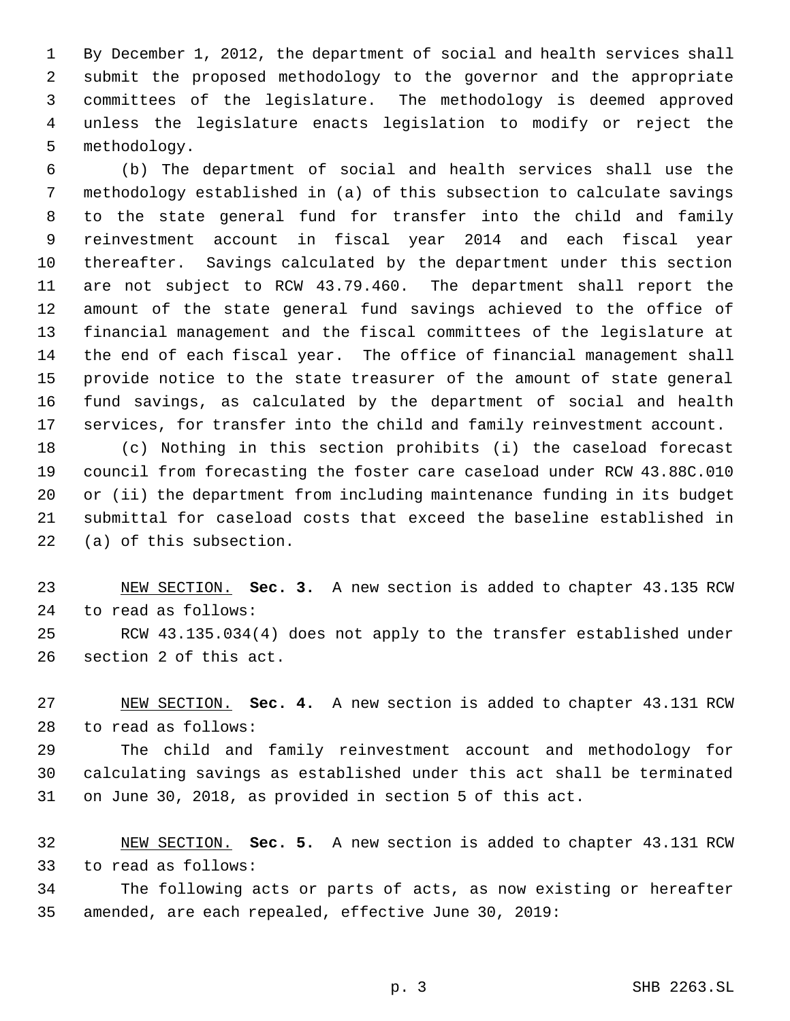By December 1, 2012, the department of social and health services shall submit the proposed methodology to the governor and the appropriate committees of the legislature. The methodology is deemed approved unless the legislature enacts legislation to modify or reject the methodology.

 (b) The department of social and health services shall use the methodology established in (a) of this subsection to calculate savings to the state general fund for transfer into the child and family reinvestment account in fiscal year 2014 and each fiscal year thereafter. Savings calculated by the department under this section are not subject to RCW 43.79.460. The department shall report the amount of the state general fund savings achieved to the office of financial management and the fiscal committees of the legislature at the end of each fiscal year. The office of financial management shall provide notice to the state treasurer of the amount of state general fund savings, as calculated by the department of social and health services, for transfer into the child and family reinvestment account.

 (c) Nothing in this section prohibits (i) the caseload forecast council from forecasting the foster care caseload under RCW 43.88C.010 or (ii) the department from including maintenance funding in its budget submittal for caseload costs that exceed the baseline established in (a) of this subsection.

 NEW SECTION. **Sec. 3.** A new section is added to chapter 43.135 RCW to read as follows:

 RCW 43.135.034(4) does not apply to the transfer established under section 2 of this act.

 NEW SECTION. **Sec. 4.** A new section is added to chapter 43.131 RCW to read as follows:

 The child and family reinvestment account and methodology for calculating savings as established under this act shall be terminated on June 30, 2018, as provided in section 5 of this act.

 NEW SECTION. **Sec. 5.** A new section is added to chapter 43.131 RCW to read as follows:

 The following acts or parts of acts, as now existing or hereafter amended, are each repealed, effective June 30, 2019: